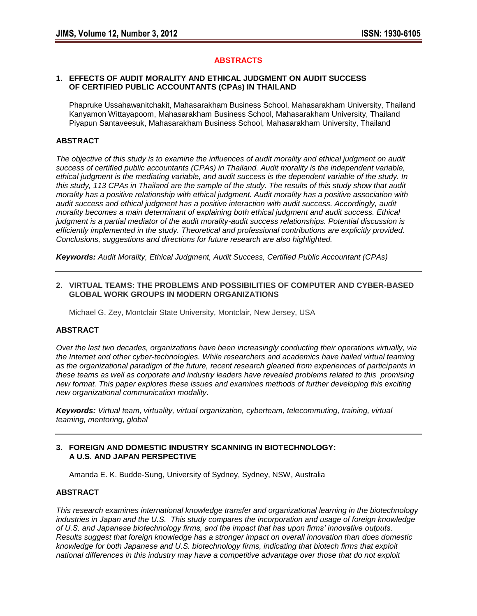## **ABSTRACTS**

#### **1. EFFECTS OF AUDIT MORALITY AND ETHICAL JUDGMENT ON AUDIT SUCCESS OF CERTIFIED PUBLIC ACCOUNTANTS (CPAs) IN THAILAND**

Phapruke Ussahawanitchakit, Mahasarakham Business School, Mahasarakham University, Thailand Kanyamon Wittayapoom, Mahasarakham Business School, Mahasarakham University, Thailand Piyapun Santaveesuk, Mahasarakham Business School, Mahasarakham University, Thailand

# **ABSTRACT**

*The objective of this study is to examine the influences of audit morality and ethical judgment on audit success of certified public accountants (CPAs) in Thailand. Audit morality is the independent variable, ethical judgment is the mediating variable, and audit success is the dependent variable of the study. In this study, 113 CPAs in Thailand are the sample of the study. The results of this study show that audit morality has a positive relationship with ethical judgment. Audit morality has a positive association with audit success and ethical judgment has a positive interaction with audit success. Accordingly, audit morality becomes a main determinant of explaining both ethical judgment and audit success. Ethical judgment is a partial mediator of the audit morality-audit success relationships. Potential discussion is efficiently implemented in the study. Theoretical and professional contributions are explicitly provided. Conclusions, suggestions and directions for future research are also highlighted.* 

*Keywords: Audit Morality, Ethical Judgment, Audit Success, Certified Public Accountant (CPAs)* 

#### **2. VIRTUAL TEAMS: THE PROBLEMS AND POSSIBILITIES OF COMPUTER AND CYBER-BASED GLOBAL WORK GROUPS IN MODERN ORGANIZATIONS**

Michael G. Zey, Montclair State University, Montclair, New Jersey, USA

### **ABSTRACT**

*Over the last two decades, organizations have been increasingly conducting their operations virtually, via the Internet and other cyber-technologies. While researchers and academics have hailed virtual teaming as the organizational paradigm of the future, recent research gleaned from experiences of participants in these teams as well as corporate and industry leaders have revealed problems related to this promising new format. This paper explores these issues and examines methods of further developing this exciting new organizational communication modality.*

*Keywords: Virtual team, virtuality, virtual organization, cyberteam, telecommuting, training, virtual teaming, mentoring, global* 

## **3. FOREIGN AND DOMESTIC INDUSTRY SCANNING IN BIOTECHNOLOGY: A U.S. AND JAPAN PERSPECTIVE**

Amanda E. K. Budde-Sung, University of Sydney, Sydney, NSW, Australia

### **ABSTRACT**

*This research examines international knowledge transfer and organizational learning in the biotechnology industries in Japan and the U.S. This study compares the incorporation and usage of foreign knowledge of U.S. and Japanese biotechnology firms, and the impact that has upon firms' innovative outputs. Results suggest that foreign knowledge has a stronger impact on overall innovation than does domestic knowledge for both Japanese and U.S. biotechnology firms, indicating that biotech firms that exploit national differences in this industry may have a competitive advantage over those that do not exploit*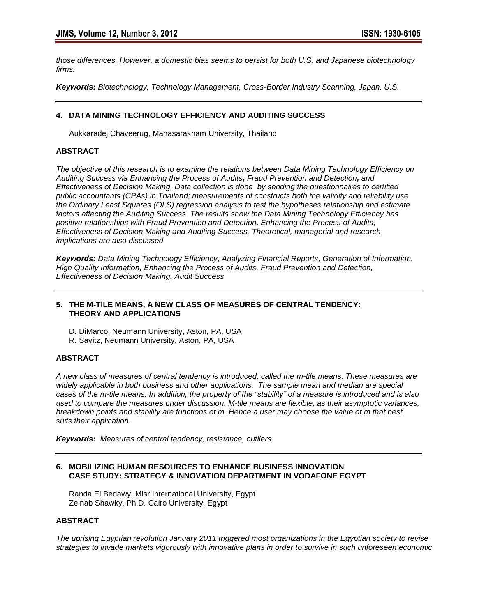*those differences. However, a domestic bias seems to persist for both U.S. and Japanese biotechnology firms.* 

*Keywords: Biotechnology, Technology Management, Cross-Border Industry Scanning, Japan, U.S.*

# **4. DATA MINING TECHNOLOGY EFFICIENCY AND AUDITING SUCCESS**

Aukkaradej Chaveerug, Mahasarakham University, Thailand

# **ABSTRACT**

*The objective of this research is to examine the relations between Data Mining Technology Efficiency on Auditing Success via Enhancing the Process of Audits, Fraud Prevention and Detection, and Effectiveness of Decision Making. Data collection is done by sending the questionnaires to certified public accountants (CPAs) in Thailand; measurements of constructs both the validity and reliability use the Ordinary Least Squares (OLS) regression analysis to test the hypotheses relationship and estimate factors affecting the Auditing Success. The results show the Data Mining Technology Efficiency has positive relationships with Fraud Prevention and Detection, Enhancing the Process of Audits, Effectiveness of Decision Making and Auditing Success. Theoretical, managerial and research implications are also discussed.*

*Keywords: Data Mining Technology Efficiency, Analyzing Financial Reports, Generation of Information, High Quality Information, Enhancing the Process of Audits, Fraud Prevention and Detection, Effectiveness of Decision Making, Audit Success* 

### **5. THE M-TILE MEANS, A NEW CLASS OF MEASURES OF CENTRAL TENDENCY: THEORY AND APPLICATIONS**

- D. DiMarco, Neumann University, Aston, PA, USA
- R. Savitz, Neumann University, Aston, PA, USA

### **ABSTRACT**

*A new class of measures of central tendency is introduced, called the m-tile means. These measures are widely applicable in both business and other applications. The sample mean and median are special cases of the m-tile means. In addition, the property of the "stability" of a measure is introduced and is also used to compare the measures under discussion. M-tile means are flexible, as their asymptotic variances, breakdown points and stability are functions of m. Hence a user may choose the value of m that best suits their application.*

*Keywords: Measures of central tendency, resistance, outliers*

## **6. MOBILIZING HUMAN RESOURCES TO ENHANCE BUSINESS INNOVATION CASE STUDY: STRATEGY & INNOVATION DEPARTMENT IN VODAFONE EGYPT**

Randa El Bedawy, Misr International University, Egypt Zeinab Shawky, Ph.D. Cairo University, Egypt

# **ABSTRACT**

*The uprising Egyptian revolution January 2011 triggered most organizations in the Egyptian society to revise strategies to invade markets vigorously with innovative plans in order to survive in such unforeseen economic*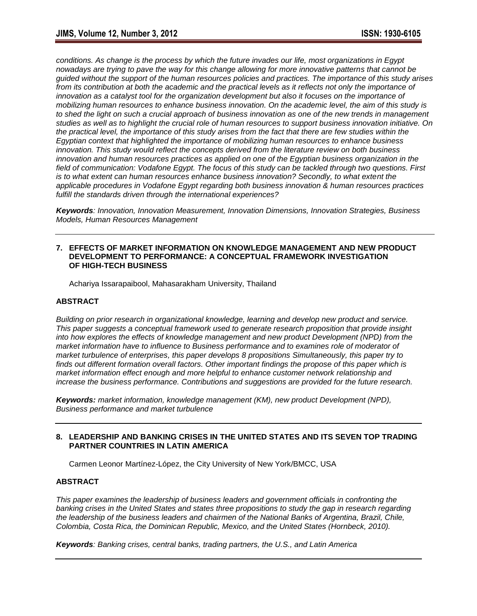*conditions. As change is the process by which the future invades our life, most organizations in Egypt nowadays are trying to pave the way for this change allowing for more innovative patterns that cannot be guided without the support of the human resources policies and practices. The importance of this study arises from its contribution at both the academic and the practical levels as it reflects not only the importance of innovation as a catalyst tool for the organization development but also it focuses on the importance of mobilizing human resources to enhance business innovation. On the academic level, the aim of this study is to shed the light on such a crucial approach of business innovation as one of the new trends in management studies as well as to highlight the crucial role of human resources to support business innovation initiative. On the practical level, the importance of this study arises from the fact that there are few studies within the Egyptian context that highlighted the importance of mobilizing human resources to enhance business innovation. This study would reflect the concepts derived from the literature review on both business innovation and human resources practices as applied on one of the Egyptian business organization in the field of communication: Vodafone Egypt. The focus of this study can be tackled through two questions. First is to what extent can human resources enhance business innovation? Secondly, to what extent the applicable procedures in Vodafone Egypt regarding both business innovation & human resources practices fulfill the standards driven through the international experiences?*

*Keywords: Innovation, Innovation Measurement, Innovation Dimensions, Innovation Strategies, Business Models, Human Resources Management*

#### **7. EFFECTS OF MARKET INFORMATION ON KNOWLEDGE MANAGEMENT AND NEW PRODUCT DEVELOPMENT TO PERFORMANCE: A CONCEPTUAL FRAMEWORK INVESTIGATION OF HIGH-TECH BUSINESS**

Achariya Issarapaibool, Mahasarakham University, Thailand

### **ABSTRACT**

*Building on prior research in organizational knowledge, learning and develop new product and service. This paper suggests a conceptual framework used to generate research proposition that provide insight into how explores the effects of knowledge management and new product Development (NPD) from the market information have to influence to Business performance and to examines role of moderator of market turbulence of enterprises, this paper develops 8 propositions Simultaneously, this paper try to finds out different formation overall factors. Other important findings the propose of this paper which is market information effect enough and more helpful to enhance customer network relationship and increase the business performance. Contributions and suggestions are provided for the future research.*

*Keywords: market information, knowledge management (KM), new product Development (NPD), Business performance and market turbulence*

### **8. LEADERSHIP AND BANKING CRISES IN THE UNITED STATES AND ITS SEVEN TOP TRADING PARTNER COUNTRIES IN LATIN AMERICA**

Carmen Leonor Martínez-López, the City University of New York/BMCC, USA

### **ABSTRACT**

*This paper examines the leadership of business leaders and government officials in confronting the banking crises in the United States and states three propositions to study the gap in research regarding the leadership of the business leaders and chairmen of the National Banks of Argentina, Brazil, Chile, Colombia, Costa Rica, the Dominican Republic, Mexico, and the United States (Hornbeck, 2010).*

*Keywords: Banking crises, central banks, trading partners, the U.S., and Latin America*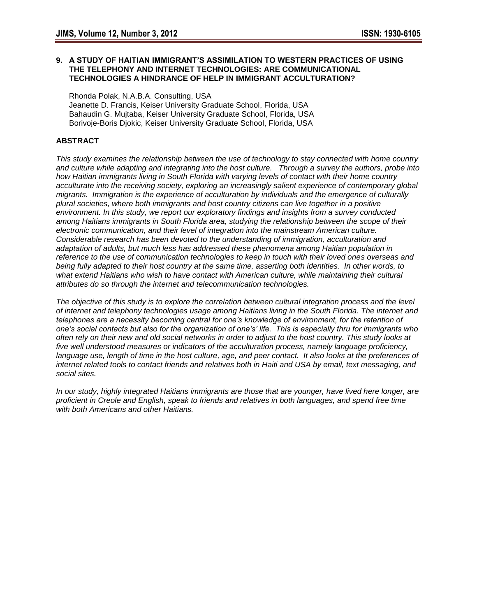### **9. A STUDY OF HAITIAN IMMIGRANT'S ASSIMILATION TO WESTERN PRACTICES OF USING THE TELEPHONY AND INTERNET TECHNOLOGIES: ARE COMMUNICATIONAL TECHNOLOGIES A HINDRANCE OF HELP IN IMMIGRANT ACCULTURATION?**

Rhonda Polak, N.A.B.A. Consulting, USA Jeanette D. Francis, Keiser University Graduate School, Florida, USA Bahaudin G. Mujtaba, Keiser University Graduate School, Florida, USA Borivoje-Boris Djokic, Keiser University Graduate School, Florida, USA

# **ABSTRACT**

*This study examines the relationship between the use of technology to stay connected with home country and culture while adapting and integrating into the host culture. Through a survey the authors, probe into how Haitian immigrants living in South Florida with varying levels of contact with their home country acculturate into the receiving society, exploring an increasingly salient experience of contemporary global migrants. Immigration is the experience of acculturation by individuals and the emergence of culturally plural societies, where both immigrants and host country citizens can live together in a positive environment. In this study, we report our exploratory findings and insights from a survey conducted among Haitians immigrants in South Florida area, studying the relationship between the scope of their electronic communication, and their level of integration into the mainstream American culture. Considerable research has been devoted to the understanding of immigration, acculturation and adaptation of adults, but much less has addressed these phenomena among Haitian population in reference to the use of communication technologies to keep in touch with their loved ones overseas and being fully adapted to their host country at the same time, asserting both identities. In other words, to what extend Haitians who wish to have contact with American culture, while maintaining their cultural attributes do so through the internet and telecommunication technologies.* 

*The objective of this study is to explore the correlation between cultural integration process and the level of internet and telephony technologies usage among Haitians living in the South Florida. The internet and telephones are a necessity becoming central for one's knowledge of environment, for the retention of one's social contacts but also for the organization of one's' life. This is especially thru for immigrants who often rely on their new and old social networks in order to adjust to the host country. This study looks at five well understood measures or indicators of the acculturation process, namely language proficiency,*  language use, length of time in the host culture, age, and peer contact. It also looks at the preferences of *internet related tools to contact friends and relatives both in Haiti and USA by email, text messaging, and social sites.* 

*In our study, highly integrated Haitians immigrants are those that are younger, have lived here longer, are proficient in Creole and English, speak to friends and relatives in both languages, and spend free time with both Americans and other Haitians.*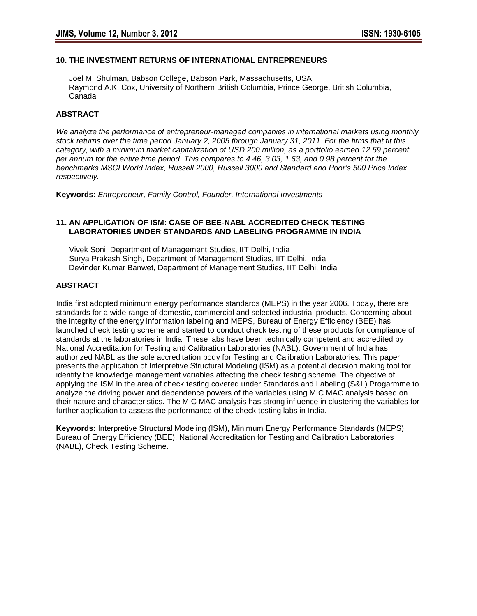## **10. THE INVESTMENT RETURNS OF INTERNATIONAL ENTREPRENEURS**

 Joel M. Shulman, Babson College, Babson Park, Massachusetts, USA Raymond A.K. Cox, University of Northern British Columbia, Prince George, British Columbia, Canada

### **ABSTRACT**

*We analyze the performance of entrepreneur-managed companies in international markets using monthly stock returns over the time period January 2, 2005 through January 31, 2011. For the firms that fit this category, with a minimum market capitalization of USD 200 million, as a portfolio earned 12.59 percent per annum for the entire time period. This compares to 4.46, 3.03, 1.63, and 0.98 percent for the benchmarks MSCI World Index, Russell 2000, Russell 3000 and Standard and Poor's 500 Price Index respectively.*

**Keywords:** *Entrepreneur, Family Control, Founder, International Investments*

### **11. AN APPLICATION OF ISM: CASE OF BEE-NABL ACCREDITED CHECK TESTING LABORATORIES UNDER STANDARDS AND LABELING PROGRAMME IN INDIA**

 Vivek Soni, Department of Management Studies, IIT Delhi, India Surya Prakash Singh, Department of Management Studies, IIT Delhi, India Devinder Kumar Banwet, Department of Management Studies, IIT Delhi, India

#### **ABSTRACT**

India first adopted minimum energy performance standards (MEPS) in the year 2006. Today, there are standards for a wide range of domestic, commercial and selected industrial products. Concerning about the integrity of the energy information labeling and MEPS, Bureau of Energy Efficiency (BEE) has launched check testing scheme and started to conduct check testing of these products for compliance of standards at the laboratories in India. These labs have been technically competent and accredited by National Accreditation for Testing and Calibration Laboratories (NABL). Government of India has authorized NABL as the sole accreditation body for Testing and Calibration Laboratories. This paper presents the application of Interpretive Structural Modeling (ISM) as a potential decision making tool for identify the knowledge management variables affecting the check testing scheme. The objective of applying the ISM in the area of check testing covered under Standards and Labeling (S&L) Progarmme to analyze the driving power and dependence powers of the variables using MIC MAC analysis based on their nature and characteristics. The MIC MAC analysis has strong influence in clustering the variables for further application to assess the performance of the check testing labs in India.

**Keywords:** Interpretive Structural Modeling (ISM), Minimum Energy Performance Standards (MEPS), Bureau of Energy Efficiency (BEE), National Accreditation for Testing and Calibration Laboratories (NABL), Check Testing Scheme.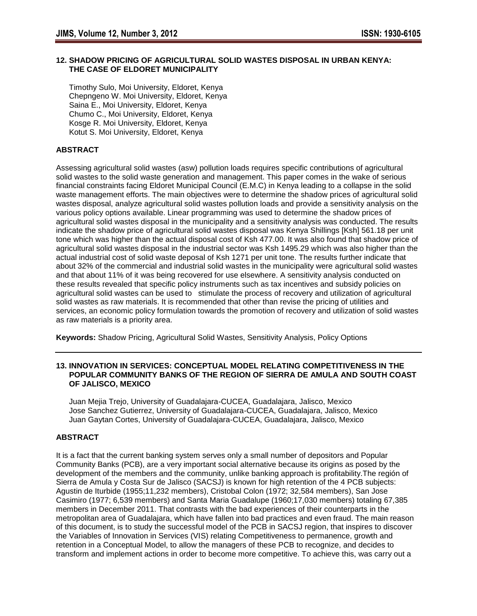# **12. SHADOW PRICING OF AGRICULTURAL SOLID WASTES DISPOSAL IN URBAN KENYA: THE CASE OF ELDORET MUNICIPALITY**

 Timothy Sulo, Moi University, Eldoret, Kenya Chepngeno W. Moi University, Eldoret, Kenya Saina E., Moi University, Eldoret, Kenya Chumo C., Moi University, Eldoret, Kenya Kosge R. Moi University, Eldoret, Kenya Kotut S. Moi University, Eldoret, Kenya

# **ABSTRACT**

Assessing agricultural solid wastes (asw) pollution loads requires specific contributions of agricultural solid wastes to the solid waste generation and management. This paper comes in the wake of serious financial constraints facing Eldoret Municipal Council (E.M.C) in Kenya leading to a collapse in the solid waste management efforts. The main objectives were to determine the shadow prices of agricultural solid wastes disposal, analyze agricultural solid wastes pollution loads and provide a sensitivity analysis on the various policy options available. Linear programming was used to determine the shadow prices of agricultural solid wastes disposal in the municipality and a sensitivity analysis was conducted. The results indicate the shadow price of agricultural solid wastes disposal was Kenya Shillings [Ksh] 561.18 per unit tone which was higher than the actual disposal cost of Ksh 477.00. It was also found that shadow price of agricultural solid wastes disposal in the industrial sector was Ksh 1495.29 which was also higher than the actual industrial cost of solid waste deposal of Ksh 1271 per unit tone. The results further indicate that about 32% of the commercial and industrial solid wastes in the municipality were agricultural solid wastes and that about 11% of it was being recovered for use elsewhere. A sensitivity analysis conducted on these results revealed that specific policy instruments such as tax incentives and subsidy policies on agricultural solid wastes can be used to stimulate the process of recovery and utilization of agricultural solid wastes as raw materials. It is recommended that other than revise the pricing of utilities and services, an economic policy formulation towards the promotion of recovery and utilization of solid wastes as raw materials is a priority area.

**Keywords:** Shadow Pricing, Agricultural Solid Wastes, Sensitivity Analysis, Policy Options

### **13. INNOVATION IN SERVICES: CONCEPTUAL MODEL RELATING COMPETITIVENESS IN THE POPULAR COMMUNITY BANKS OF THE REGION OF SIERRA DE AMULA AND SOUTH COAST OF JALISCO, MEXICO**

 Juan Mejia Trejo, University of Guadalajara-CUCEA, Guadalajara, Jalisco, Mexico Jose Sanchez Gutierrez, University of Guadalajara-CUCEA, Guadalajara, Jalisco, Mexico Juan Gaytan Cortes, University of Guadalajara-CUCEA, Guadalajara, Jalisco, Mexico

### **ABSTRACT**

It is a fact that the current banking system serves only a small number of depositors and Popular Community Banks (PCB), are a very important social alternative because its origins as posed by the development of the members and the community, unlike banking approach is profitability.The región of Sierra de Amula y Costa Sur de Jalisco (SACSJ) is known for high retention of the 4 PCB subjects: Agustin de Iturbide (1955;11,232 members), Cristobal Colon (1972; 32,584 members), San Jose Casimiro (1977; 6,539 members) and Santa Maria Guadalupe (1960;17,030 members) totaling 67,385 members in December 2011. That contrasts with the bad experiences of their counterparts in the metropolitan area of Guadalajara, which have fallen into bad practices and even fraud. The main reason of this document, is to study the successful model of the PCB in SACSJ region, that inspires to discover the Variables of Innovation in Services (VIS) relating Competitiveness to permanence, growth and retention in a Conceptual Model, to allow the managers of these PCB to recognize, and decides to transform and implement actions in order to become more competitive. To achieve this, was carry out a